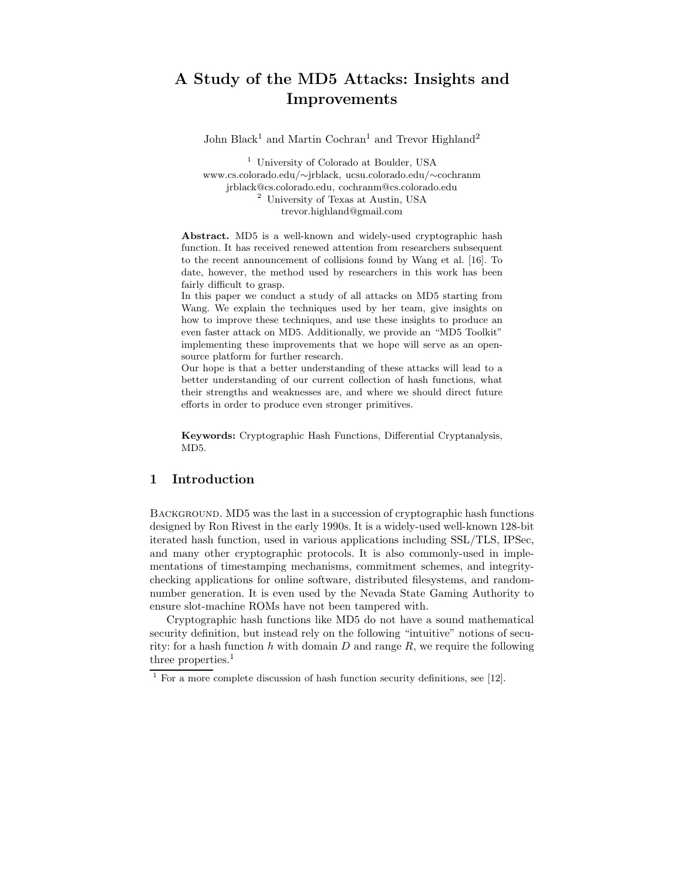# A Study of the MD5 Attacks: Insights and Improvements

John Black<sup>1</sup> and Martin Cochran<sup>1</sup> and Trevor Highland<sup>2</sup>

<sup>1</sup> University of Colorado at Boulder, USA www.cs.colorado.edu/∼jrblack, ucsu.colorado.edu/∼cochranm jrblack@cs.colorado.edu, cochranm@cs.colorado.edu <sup>2</sup> University of Texas at Austin, USA trevor.highland@gmail.com

Abstract. MD5 is a well-known and widely-used cryptographic hash function. It has received renewed attention from researchers subsequent to the recent announcement of collisions found by Wang et al. [16]. To date, however, the method used by researchers in this work has been fairly difficult to grasp.

In this paper we conduct a study of all attacks on MD5 starting from Wang. We explain the techniques used by her team, give insights on how to improve these techniques, and use these insights to produce an even faster attack on MD5. Additionally, we provide an "MD5 Toolkit" implementing these improvements that we hope will serve as an opensource platform for further research.

Our hope is that a better understanding of these attacks will lead to a better understanding of our current collection of hash functions, what their strengths and weaknesses are, and where we should direct future efforts in order to produce even stronger primitives.

Keywords: Cryptographic Hash Functions, Differential Cryptanalysis, MD5.

# 1 Introduction

BACKGROUND. MD5 was the last in a succession of cryptographic hash functions designed by Ron Rivest in the early 1990s. It is a widely-used well-known 128-bit iterated hash function, used in various applications including SSL/TLS, IPSec, and many other cryptographic protocols. It is also commonly-used in implementations of timestamping mechanisms, commitment schemes, and integritychecking applications for online software, distributed filesystems, and randomnumber generation. It is even used by the Nevada State Gaming Authority to ensure slot-machine ROMs have not been tampered with.

Cryptographic hash functions like MD5 do not have a sound mathematical security definition, but instead rely on the following "intuitive" notions of security: for a hash function h with domain D and range R, we require the following three properties.<sup>1</sup>

 $1$  For a more complete discussion of hash function security definitions, see [12].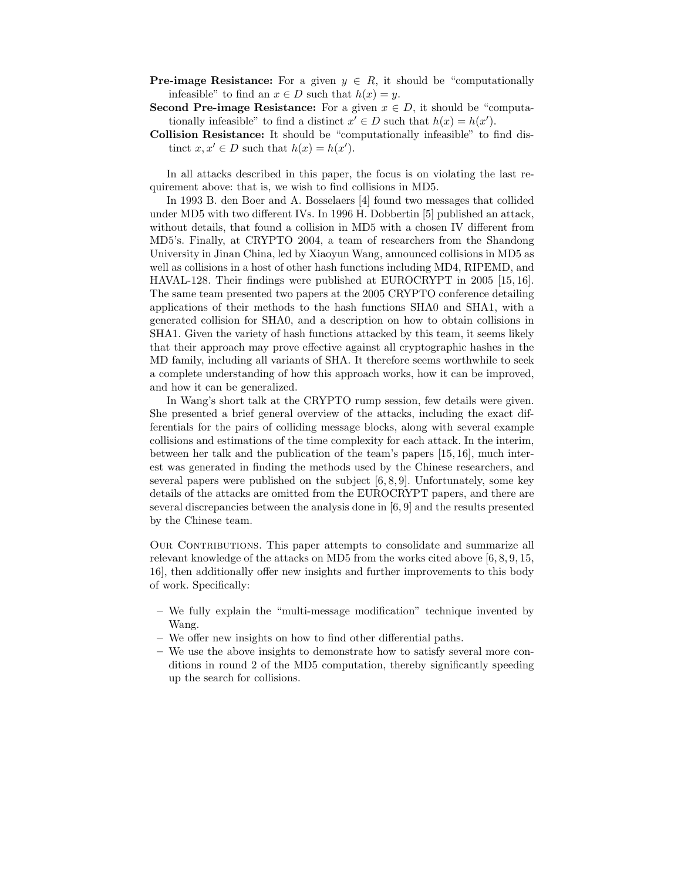- **Pre-image Resistance:** For a given  $y \in R$ , it should be "computationally" infeasible" to find an  $x \in D$  such that  $h(x) = y$ .
- **Second Pre-image Resistance:** For a given  $x \in D$ , it should be "computationally infeasible" to find a distinct  $x' \in D$  such that  $h(x) = h(x')$ .
- Collision Resistance: It should be "computationally infeasible" to find distinct  $x, x' \in D$  such that  $h(x) = h(x')$ .

In all attacks described in this paper, the focus is on violating the last requirement above: that is, we wish to find collisions in MD5.

In 1993 B. den Boer and A. Bosselaers [4] found two messages that collided under MD5 with two different IVs. In 1996 H. Dobbertin [5] published an attack, without details, that found a collision in MD5 with a chosen IV different from MD5's. Finally, at CRYPTO 2004, a team of researchers from the Shandong University in Jinan China, led by Xiaoyun Wang, announced collisions in MD5 as well as collisions in a host of other hash functions including MD4, RIPEMD, and HAVAL-128. Their findings were published at EUROCRYPT in 2005 [15, 16]. The same team presented two papers at the 2005 CRYPTO conference detailing applications of their methods to the hash functions SHA0 and SHA1, with a generated collision for SHA0, and a description on how to obtain collisions in SHA1. Given the variety of hash functions attacked by this team, it seems likely that their approach may prove effective against all cryptographic hashes in the MD family, including all variants of SHA. It therefore seems worthwhile to seek a complete understanding of how this approach works, how it can be improved, and how it can be generalized.

In Wang's short talk at the CRYPTO rump session, few details were given. She presented a brief general overview of the attacks, including the exact differentials for the pairs of colliding message blocks, along with several example collisions and estimations of the time complexity for each attack. In the interim, between her talk and the publication of the team's papers [15, 16], much interest was generated in finding the methods used by the Chinese researchers, and several papers were published on the subject  $[6, 8, 9]$ . Unfortunately, some key details of the attacks are omitted from the EUROCRYPT papers, and there are several discrepancies between the analysis done in [6, 9] and the results presented by the Chinese team.

OUR CONTRIBUTIONS. This paper attempts to consolidate and summarize all relevant knowledge of the attacks on MD5 from the works cited above [6, 8, 9, 15, 16], then additionally offer new insights and further improvements to this body of work. Specifically:

- We fully explain the "multi-message modification" technique invented by Wang.
- We offer new insights on how to find other differential paths.
- We use the above insights to demonstrate how to satisfy several more conditions in round 2 of the MD5 computation, thereby significantly speeding up the search for collisions.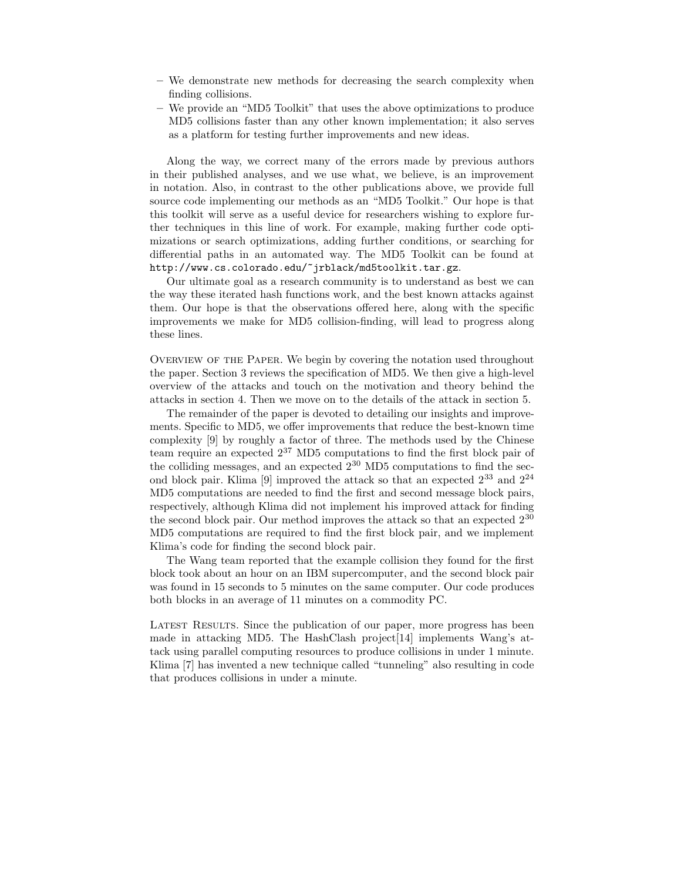- We demonstrate new methods for decreasing the search complexity when finding collisions.
- We provide an "MD5 Toolkit" that uses the above optimizations to produce MD5 collisions faster than any other known implementation; it also serves as a platform for testing further improvements and new ideas.

Along the way, we correct many of the errors made by previous authors in their published analyses, and we use what, we believe, is an improvement in notation. Also, in contrast to the other publications above, we provide full source code implementing our methods as an "MD5 Toolkit." Our hope is that this toolkit will serve as a useful device for researchers wishing to explore further techniques in this line of work. For example, making further code optimizations or search optimizations, adding further conditions, or searching for differential paths in an automated way. The MD5 Toolkit can be found at http://www.cs.colorado.edu/~jrblack/md5toolkit.tar.gz.

Our ultimate goal as a research community is to understand as best we can the way these iterated hash functions work, and the best known attacks against them. Our hope is that the observations offered here, along with the specific improvements we make for MD5 collision-finding, will lead to progress along these lines.

OVERVIEW OF THE PAPER. We begin by covering the notation used throughout the paper. Section 3 reviews the specification of MD5. We then give a high-level overview of the attacks and touch on the motivation and theory behind the attacks in section 4. Then we move on to the details of the attack in section 5.

The remainder of the paper is devoted to detailing our insights and improvements. Specific to MD5, we offer improvements that reduce the best-known time complexity [9] by roughly a factor of three. The methods used by the Chinese team require an expected 2 <sup>37</sup> MD5 computations to find the first block pair of the colliding messages, and an expected  $2^{30}$  MD5 computations to find the second block pair. Klima [9] improved the attack so that an expected  $2^{33}$  and  $2^{24}$ MD5 computations are needed to find the first and second message block pairs, respectively, although Klima did not implement his improved attack for finding the second block pair. Our method improves the attack so that an expected  $2^{30}$ MD5 computations are required to find the first block pair, and we implement Klima's code for finding the second block pair.

The Wang team reported that the example collision they found for the first block took about an hour on an IBM supercomputer, and the second block pair was found in 15 seconds to 5 minutes on the same computer. Our code produces both blocks in an average of 11 minutes on a commodity PC.

Latest Results. Since the publication of our paper, more progress has been made in attacking MD5. The HashClash project [14] implements Wang's attack using parallel computing resources to produce collisions in under 1 minute. Klima [7] has invented a new technique called "tunneling" also resulting in code that produces collisions in under a minute.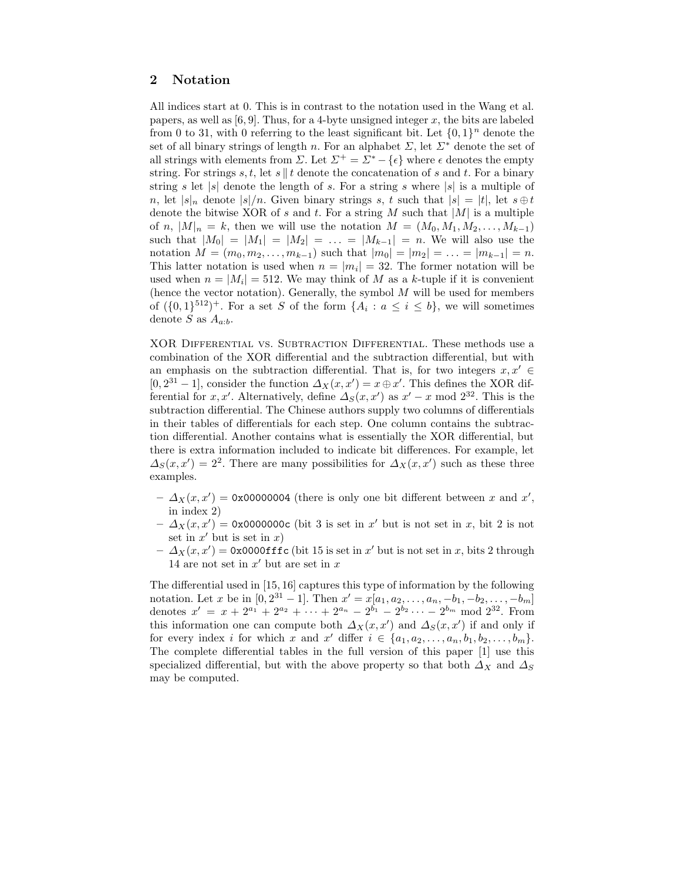# 2 Notation

All indices start at 0. This is in contrast to the notation used in the Wang et al. papers, as well as  $[6, 9]$ . Thus, for a 4-byte unsigned integer x, the bits are labeled from 0 to 31, with 0 referring to the least significant bit. Let  $\{0,1\}^n$  denote the set of all binary strings of length n. For an alphabet  $\Sigma$ , let  $\Sigma^*$  denote the set of all strings with elements from  $\Sigma$ . Let  $\Sigma^+ = \Sigma^* - {\epsilon}$  where  $\epsilon$  denotes the empty string. For strings s, t, let s  $||t|$  denote the concatenation of s and t. For a binary string s let  $|s|$  denote the length of s. For a string s where  $|s|$  is a multiple of n, let  $|s|_n$  denote  $|s|/n$ . Given binary strings s, t such that  $|s| = |t|$ , let  $s \oplus t$ denote the bitwise XOR of s and t. For a string M such that  $|M|$  is a multiple of n,  $|M|_n = k$ , then we will use the notation  $M = (M_0, M_1, M_2, \ldots, M_{k-1})$ such that  $|M_0| = |M_1| = |M_2| = \ldots = |M_{k-1}| = n$ . We will also use the notation  $M = (m_0, m_2, \ldots, m_{k-1})$  such that  $|m_0| = |m_2| = \ldots = |m_{k-1}| = n$ . This latter notation is used when  $n = |m_i| = 32$ . The former notation will be used when  $n = |M_i| = 512$ . We may think of M as a k-tuple if it is convenient (hence the vector notation). Generally, the symbol  $M$  will be used for members of  $({0,1}^{512})^+$ . For a set S of the form  ${A_i : a \leq i \leq b}$ , we will sometimes denote S as  $A_{a:b}$ .

XOR Differential vs. Subtraction Differential. These methods use a combination of the XOR differential and the subtraction differential, but with an emphasis on the subtraction differential. That is, for two integers  $x, x' \in$ [0, 2<sup>31</sup> – 1], consider the function  $\Delta_X(x, x') = x \oplus x'$ . This defines the XOR differential for x, x'. Alternatively, define  $\Delta_S(x, x')$  as  $x' - x$  mod  $2^{32}$ . This is the subtraction differential. The Chinese authors supply two columns of differentials in their tables of differentials for each step. One column contains the subtraction differential. Another contains what is essentially the XOR differential, but there is extra information included to indicate bit differences. For example, let  $\Delta_S(x, x') = 2^2$ . There are many possibilities for  $\Delta_X(x, x')$  such as these three examples.

- $-\Delta_X(x, x') = 0 \times 00000004$  (there is only one bit different between x and x', in index 2)
- $-\Delta_X(x,x')=0$ x0000000c (bit 3 is set in x' but is not set in x, bit 2 is not set in  $x'$  but is set in  $x$ )
- $\Delta_X(x, x') = 0$ x0000fffc (bit 15 is set in x' but is not set in x, bits 2 through 14 are not set in  $x'$  but are set in  $x$

The differential used in [15, 16] captures this type of information by the following notation. Let x be in  $[0, 2^{31} - 1]$ . Then  $x' = x[a_1, a_2, \ldots, a_n, -b_1, -b_2, \ldots, -b_m]$ denotes  $x' = x + 2^{a_1} + 2^{a_2} + \cdots + 2^{a_n} - 2^{b_1} - 2^{b_2} \cdots - 2^{b_m} \mod 2^{32}$ . From this information one can compute both  $\Delta_X(x, x')$  and  $\Delta_S(x, x')$  if and only if for every index i for which x and x' differ  $i \in \{a_1, a_2, \ldots, a_n, b_1, b_2, \ldots, b_m\}.$ The complete differential tables in the full version of this paper [1] use this specialized differential, but with the above property so that both  $\Delta_X$  and  $\Delta_S$ may be computed.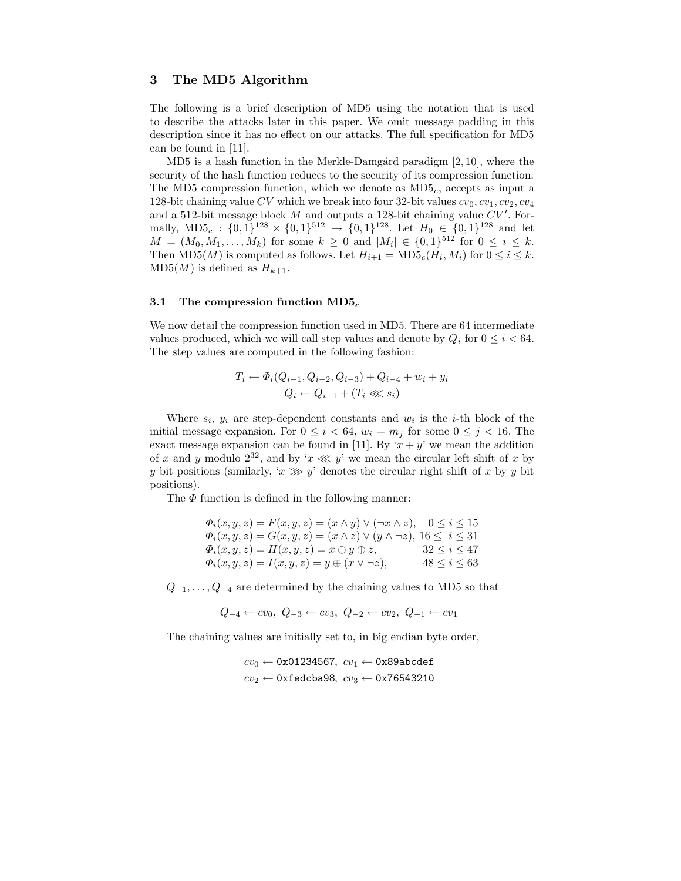## 3 The MD5 Algorithm

The following is a brief description of MD5 using the notation that is used to describe the attacks later in this paper. We omit message padding in this description since it has no effect on our attacks. The full specification for MD5 can be found in [11].

MD5 is a hash function in the Merkle-Damgård paradigm  $[2, 10]$ , where the security of the hash function reduces to the security of its compression function. The MD5 compression function, which we denote as  $MD5<sub>c</sub>$ , accepts as input a 128-bit chaining value CV which we break into four 32-bit values  $cv_0, cv_1, cv_2, cv_4$ and a 512-bit message block  $M$  and outputs a 128-bit chaining value  $CV'$ . Formally,  $MD5_c$ :  $\{0,1\}^{128} \times \{0,1\}^{512} \rightarrow \{0,1\}^{128}$ . Let  $H_0 \in \{0,1\}^{128}$  and let  $M = (M_0, M_1, \ldots, M_k)$  for some  $k \geq 0$  and  $|M_i| \in \{0, 1\}^{512}$  for  $0 \leq i \leq k$ . Then MD5(*M*) is computed as follows. Let  $H_{i+1} = \text{MD5}_c(H_i, M_i)$  for  $0 \le i \le k$ .  $MD5(M)$  is defined as  $H_{k+1}$ .

#### 3.1 The compression function  $MD5_c$

We now detail the compression function used in MD5. There are 64 intermediate values produced, which we will call step values and denote by  $Q_i$  for  $0 \leq i < 64$ . The step values are computed in the following fashion:

$$
T_i \leftarrow \Phi_i(Q_{i-1}, Q_{i-2}, Q_{i-3}) + Q_{i-4} + w_i + y_i
$$
  

$$
Q_i \leftarrow Q_{i-1} + (T_i \ll s_i)
$$

Where  $s_i$ ,  $y_i$  are step-dependent constants and  $w_i$  is the *i*-th block of the initial message expansion. For  $0 \leq i < 64$ ,  $w_i = m_j$  for some  $0 \leq j < 16$ . The exact message expansion can be found in [11]. By ' $x + y$ ' we mean the addition of x and y modulo  $2^{32}$ , and by 'x « y' we mean the circular left shift of x by y bit positions (similarly, ' $x \gg y$ ' denotes the circular right shift of x by y bit positions).

The  $\Phi$  function is defined in the following manner:

| $\Phi_i(x, y, z) = F(x, y, z) = (x \wedge y) \vee (\neg x \wedge z), \quad 0 \leq i \leq 15$ |                     |
|----------------------------------------------------------------------------------------------|---------------------|
| $\Phi_i(x, y, z) = G(x, y, z) = (x \wedge z) \vee (y \wedge \neg z), 16 \leq i \leq 31$      |                     |
| $\Phi_i(x, y, z) = H(x, y, z) = x \oplus y \oplus z,$                                        | $32 \leq i \leq 47$ |
| $\Phi_i(x, y, z) = I(x, y, z) = y \oplus (x \vee \neg z),$                                   | 48 < i < 63         |

 $Q_{-1}, \ldots, Q_{-4}$  are determined by the chaining values to MD5 so that

 $Q_{-4} \leftarrow cv_0, \ Q_{-3} \leftarrow cv_3, \ Q_{-2} \leftarrow cv_2, \ Q_{-1} \leftarrow cv_1$ 

The chaining values are initially set to, in big endian byte order,

$$
cv_0 \leftarrow 0x01234567, cv_1 \leftarrow 0x89abcdefcv_2 \leftarrow 0xfedcba98, cv_3 \leftarrow 0x76543210
$$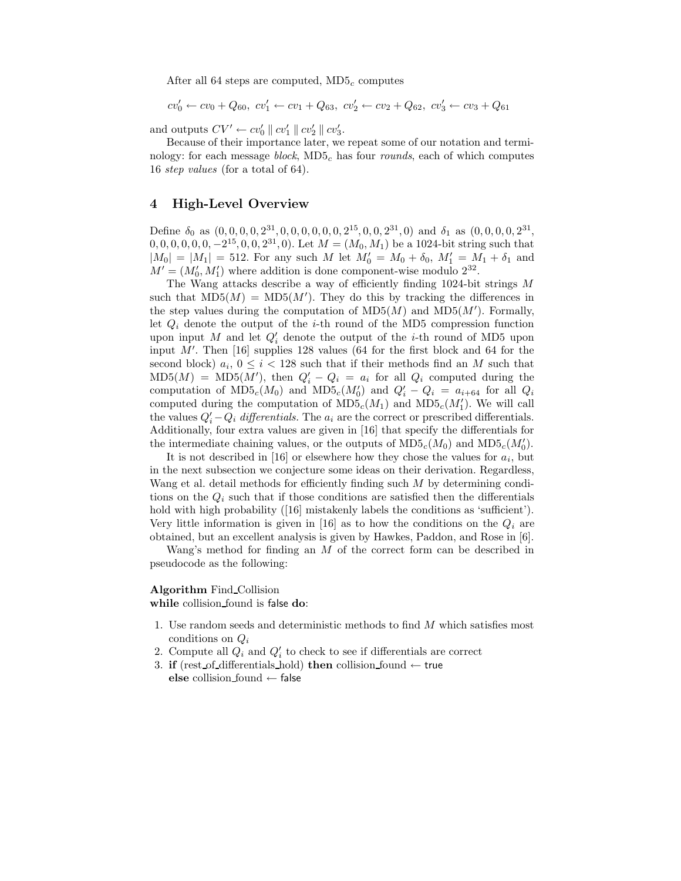After all 64 steps are computed,  $MD5<sub>c</sub>$  computes

 $cv'_0 \leftarrow cv_0 + Q_{60}, cv'_1 \leftarrow cv_1 + Q_{63}, cv'_2 \leftarrow cv_2 + Q_{62}, cv'_3 \leftarrow cv_3 + Q_{61}$ 

and outputs  $CV' \leftarrow cv'_0 \parallel cv'_1 \parallel cv'_2 \parallel cv'_3$ .

Because of their importance later, we repeat some of our notation and terminology: for each message block,  $MD5<sub>c</sub>$  has four *rounds*, each of which computes 16 step values (for a total of 64).

# 4 High-Level Overview

Define  $\delta_0$  as  $(0, 0, 0, 0, 2^{31}, 0, 0, 0, 0, 0, 0, 2^{15}, 0, 0, 2^{31}, 0)$  and  $\delta_1$  as  $(0, 0, 0, 0, 2^{31}, 0, 0, 2^{31}, 0)$  $(0,0,0,0,0,0,-2^{15},0,0,2^{31},0)$ . Let  $M = (M_0, M_1)$  be a 1024-bit string such that  $|M_0| = |M_1| = 512$ . For any such M let  $M'_0 = M_0 + \delta_0$ ,  $M'_1 = M_1 + \delta_1$  and  $M' = (M'_0, M'_1)$  where addition is done component-wise modulo  $2^{32}$ .

The Wang attacks describe a way of efficiently finding 1024-bit strings M such that  $\text{MD5}(M) = \text{MD5}(M')$ . They do this by tracking the differences in the step values during the computation of  $MD5(M)$  and  $MD5(M')$ . Formally, let  $Q_i$  denote the output of the *i*-th round of the MD5 compression function upon input M and let  $Q_i'$  denote the output of the *i*-th round of MD5 upon input  $\overline{M'}$ . Then [16] supplies 128 values (64 for the first block and 64 for the second block)  $a_i$ ,  $0 \le i < 128$  such that if their methods find an M such that  $MD5(M) = MD5(M')$ , then  $Q_i' - Q_i = a_i$  for all  $Q_i$  computed during the computation of  $\text{MD5}_c(M_0)$  and  $\text{MD5}_c(M_0')$  and  $Q_i' - Q_i = a_{i+64}$  for all  $Q_i$ computed during the computation of  $\overline{\text{MD5}}_c(M_1)$  and  $\overline{\text{MD5}}_c(M_1')$ . We will call the values  $Q_i' - Q_i$  differentials. The  $a_i$  are the correct or prescribed differentials. Additionally, four extra values are given in [16] that specify the differentials for the intermediate chaining values, or the outputs of  $\text{MD5}_c(M_0)$  and  $\text{MD5}_c(M_0')$ .

It is not described in [16] or elsewhere how they chose the values for  $a_i$ , but in the next subsection we conjecture some ideas on their derivation. Regardless, Wang et al. detail methods for efficiently finding such M by determining conditions on the  $Q_i$  such that if those conditions are satisfied then the differentials hold with high probability ([16] mistakenly labels the conditions as 'sufficient'). Very little information is given in [16] as to how the conditions on the  $Q_i$  are obtained, but an excellent analysis is given by Hawkes, Paddon, and Rose in [6].

Wang's method for finding an M of the correct form can be described in pseudocode as the following:

#### Algorithm Find Collision

while collision found is false do:

- 1. Use random seeds and deterministic methods to find M which satisfies most conditions on  $Q_i$
- 2. Compute all  $Q_i$  and  $Q_i'$  to check to see if differentials are correct
- 3. if (rest of differentials hold) then collision found  $\leftarrow$  true else collision found ← false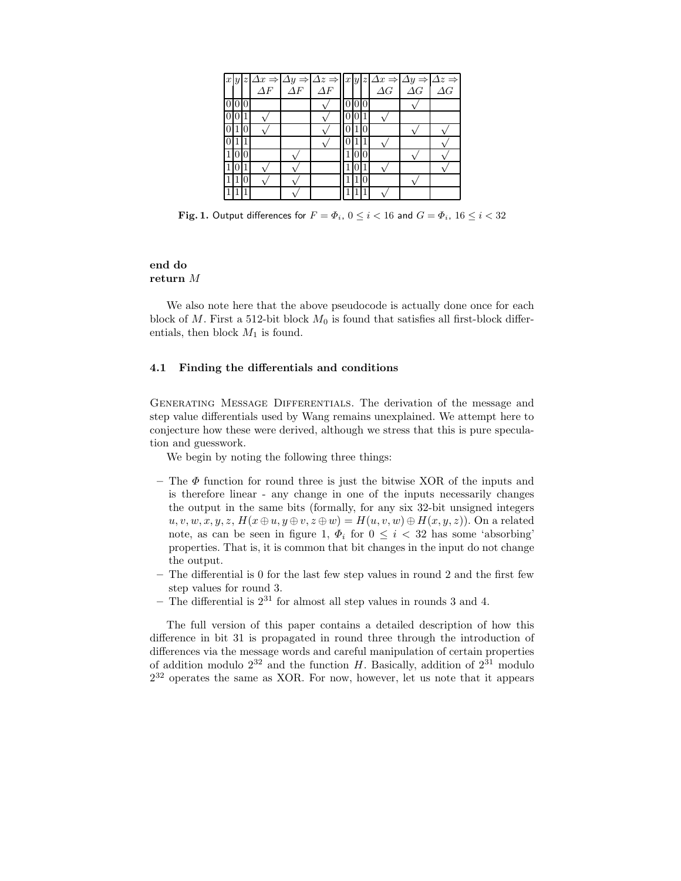|  | $\begin{array}{c c c c c c c} x y & z & \Delta x \Rightarrow & \Delta y \Rightarrow & \Delta z \Rightarrow & x y  & z & \Delta x \Rightarrow & \Delta y \Rightarrow & \Delta z \Rightarrow & \Delta F & \Delta F & \Delta F & \Delta G & \Delta G & \Delta G & \Delta G \end{array}$ |  |          |  |  |
|--|--------------------------------------------------------------------------------------------------------------------------------------------------------------------------------------------------------------------------------------------------------------------------------------|--|----------|--|--|
|  |                                                                                                                                                                                                                                                                                      |  |          |  |  |
|  |                                                                                                                                                                                                                                                                                      |  | $\theta$ |  |  |
|  |                                                                                                                                                                                                                                                                                      |  |          |  |  |
|  |                                                                                                                                                                                                                                                                                      |  |          |  |  |
|  |                                                                                                                                                                                                                                                                                      |  |          |  |  |
|  |                                                                                                                                                                                                                                                                                      |  |          |  |  |
|  |                                                                                                                                                                                                                                                                                      |  |          |  |  |
|  |                                                                                                                                                                                                                                                                                      |  |          |  |  |
|  |                                                                                                                                                                                                                                                                                      |  |          |  |  |

Fig. 1. Output differences for  $F = \Phi_i$ ,  $0 \le i < 16$  and  $G = \Phi_i$ ,  $16 \le i < 32$ 

## end do return M

We also note here that the above pseudocode is actually done once for each block of M. First a 512-bit block  $M_0$  is found that satisfies all first-block differentials, then block  $M_1$  is found.

#### 4.1 Finding the differentials and conditions

Generating Message Differentials. The derivation of the message and step value differentials used by Wang remains unexplained. We attempt here to conjecture how these were derived, although we stress that this is pure speculation and guesswork.

We begin by noting the following three things:

- The  $\Phi$  function for round three is just the bitwise XOR of the inputs and is therefore linear - any change in one of the inputs necessarily changes the output in the same bits (formally, for any six 32-bit unsigned integers  $u, v, w, x, y, z, H(x \oplus u, y \oplus v, z \oplus w) = H(u, v, w) \oplus H(x, y, z)$ . On a related note, as can be seen in figure 1,  $\Phi_i$  for  $0 \leq i < 32$  has some 'absorbing' properties. That is, it is common that bit changes in the input do not change the output.
- The differential is 0 for the last few step values in round 2 and the first few step values for round 3.
- The differential is 2 <sup>31</sup> for almost all step values in rounds 3 and 4.

The full version of this paper contains a detailed description of how this difference in bit 31 is propagated in round three through the introduction of differences via the message words and careful manipulation of certain properties of addition modulo  $2^{32}$  and the function H. Basically, addition of  $2^{31}$  modulo  $2^{32}$  operates the same as XOR. For now, however, let us note that it appears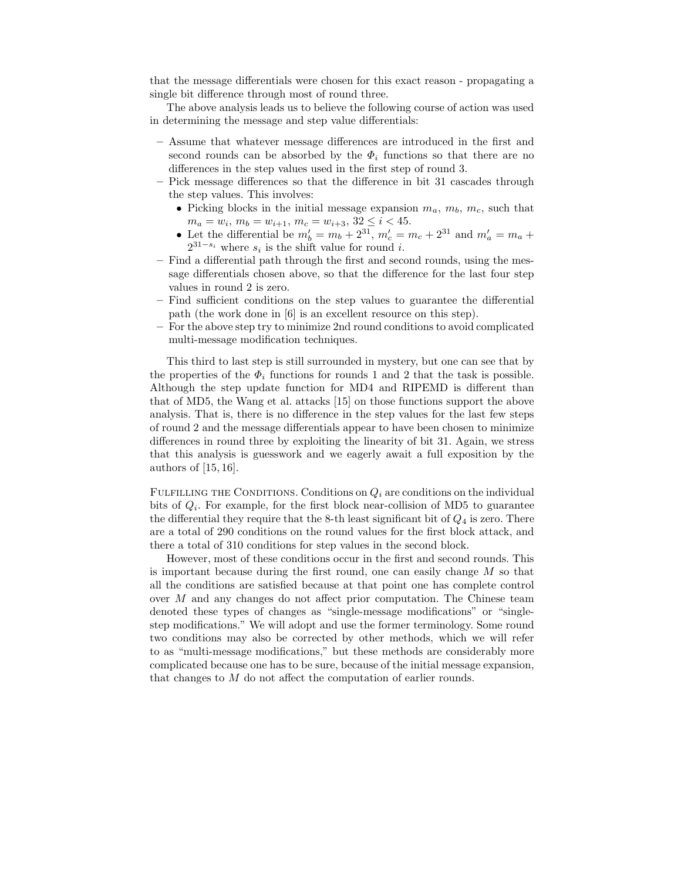that the message differentials were chosen for this exact reason - propagating a single bit difference through most of round three.

The above analysis leads us to believe the following course of action was used in determining the message and step value differentials:

- Assume that whatever message differences are introduced in the first and second rounds can be absorbed by the  $\Phi_i$  functions so that there are no differences in the step values used in the first step of round 3.
- Pick message differences so that the difference in bit 31 cascades through the step values. This involves:
	- Picking blocks in the initial message expansion  $m_a, m_b, m_c$ , such that  $m_a = w_i$ ,  $m_b = w_{i+1}$ ,  $m_c = w_{i+3}$ ,  $32 \le i < 45$ .
	- Let the differential be  $m'_b = m_b + 2^{31}$ ,  $m'_c = m_c + 2^{31}$  and  $m'_a = m_a +$  $2^{31-s_i}$  where  $s_i$  is the shift value for round *i*.
- Find a differential path through the first and second rounds, using the message differentials chosen above, so that the difference for the last four step values in round 2 is zero.
- Find sufficient conditions on the step values to guarantee the differential path (the work done in [6] is an excellent resource on this step).
- For the above step try to minimize 2nd round conditions to avoid complicated multi-message modification techniques.

This third to last step is still surrounded in mystery, but one can see that by the properties of the  $\Phi_i$  functions for rounds 1 and 2 that the task is possible. Although the step update function for MD4 and RIPEMD is different than that of MD5, the Wang et al. attacks [15] on those functions support the above analysis. That is, there is no difference in the step values for the last few steps of round 2 and the message differentials appear to have been chosen to minimize differences in round three by exploiting the linearity of bit 31. Again, we stress that this analysis is guesswork and we eagerly await a full exposition by the authors of [15, 16].

FULFILLING THE CONDITIONS. Conditions on  $Q_i$  are conditions on the individual bits of  $Q_i$ . For example, for the first block near-collision of MD5 to guarantee the differential they require that the 8-th least significant bit of  $Q_4$  is zero. There are a total of 290 conditions on the round values for the first block attack, and there a total of 310 conditions for step values in the second block.

However, most of these conditions occur in the first and second rounds. This is important because during the first round, one can easily change  $M$  so that all the conditions are satisfied because at that point one has complete control over M and any changes do not affect prior computation. The Chinese team denoted these types of changes as "single-message modifications" or "singlestep modifications." We will adopt and use the former terminology. Some round two conditions may also be corrected by other methods, which we will refer to as "multi-message modifications," but these methods are considerably more complicated because one has to be sure, because of the initial message expansion, that changes to M do not affect the computation of earlier rounds.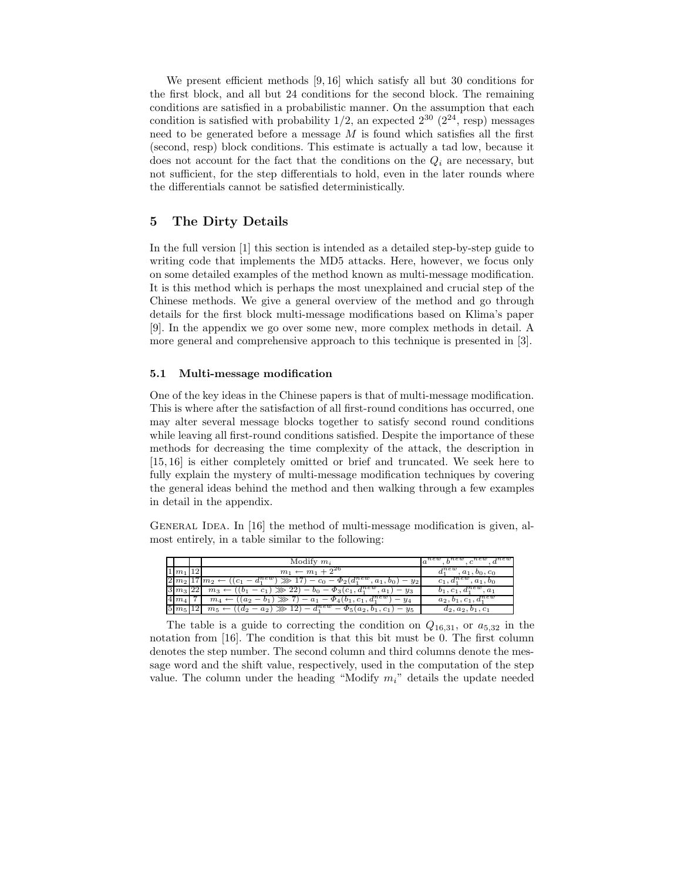We present efficient methods [9, 16] which satisfy all but 30 conditions for the first block, and all but 24 conditions for the second block. The remaining conditions are satisfied in a probabilistic manner. On the assumption that each condition is satisfied with probability  $1/2$ , an expected  $2^{30}$   $(2^{24},$  resp) messages need to be generated before a message  $M$  is found which satisfies all the first (second, resp) block conditions. This estimate is actually a tad low, because it does not account for the fact that the conditions on the  $Q_i$  are necessary, but not sufficient, for the step differentials to hold, even in the later rounds where the differentials cannot be satisfied deterministically.

## 5 The Dirty Details

In the full version [1] this section is intended as a detailed step-by-step guide to writing code that implements the MD5 attacks. Here, however, we focus only on some detailed examples of the method known as multi-message modification. It is this method which is perhaps the most unexplained and crucial step of the Chinese methods. We give a general overview of the method and go through details for the first block multi-message modifications based on Klima's paper [9]. In the appendix we go over some new, more complex methods in detail. A more general and comprehensive approach to this technique is presented in [3].

#### 5.1 Multi-message modification

One of the key ideas in the Chinese papers is that of multi-message modification. This is where after the satisfaction of all first-round conditions has occurred, one may alter several message blocks together to satisfy second round conditions while leaving all first-round conditions satisfied. Despite the importance of these methods for decreasing the time complexity of the attack, the description in [15, 16] is either completely omitted or brief and truncated. We seek here to fully explain the mystery of multi-message modification techniques by covering the general ideas behind the method and then walking through a few examples in detail in the appendix.

GENERAL IDEA. In [16] the method of multi-message modification is given, almost entirely, in a table similar to the following:

|                 | Modify $m_i$                                                                                                                         | $_{new}$                              |
|-----------------|--------------------------------------------------------------------------------------------------------------------------------------|---------------------------------------|
| $1~m_1$         | $m_1 \leftarrow m_1 + 2^{26}$                                                                                                        | new<br>$a_1, b_0, c_0$                |
|                 | $-y_2$<br>$m_2 \leftarrow$<br>$-\varphi_2($<br>$, a_1, o_0$<br>α.<br>$a_{-}$                                                         | $c_1, d_1$<br>$, a_1, o_0$            |
| $3 \; m_3$      | $v - b_0 - \Phi_3(c_1, d_1^{new})$<br>$\gg 22$<br>m <sub>3</sub><br>a <sub>1</sub><br>$y_3$<br>$-c_1$ )                              | new<br>$b_1, c_1,$<br>$a_1$           |
| 4m <sub>4</sub> | new<br>$\gg 7 - a_1 - \Phi_4(b_1, c_1, d_1^{\prime\prime})$<br>$m_4 \leftarrow$<br>$(1a_2 -$<br>$- y_4$<br>$D_1$ )                   | $a_2, b_1, c_1, \overline{d_1^{new}}$ |
| $5m_5$          | $\cdot - d_1^{new}$<br><sup>12</sup><br>⋙<br>$m_5 \leftarrow$<br>$- a_2$ )<br>$\Phi_5(a_2, b_1, c_1)$<br>$-y_5$<br>(a <sub>2</sub> ) | $d_2, a_2, b_1, c_1$                  |

The table is a guide to correcting the condition on  $Q_{16,31}$ , or  $a_{5,32}$  in the notation from [16]. The condition is that this bit must be 0. The first column denotes the step number. The second column and third columns denote the message word and the shift value, respectively, used in the computation of the step value. The column under the heading "Modify  $m_i$ " details the update needed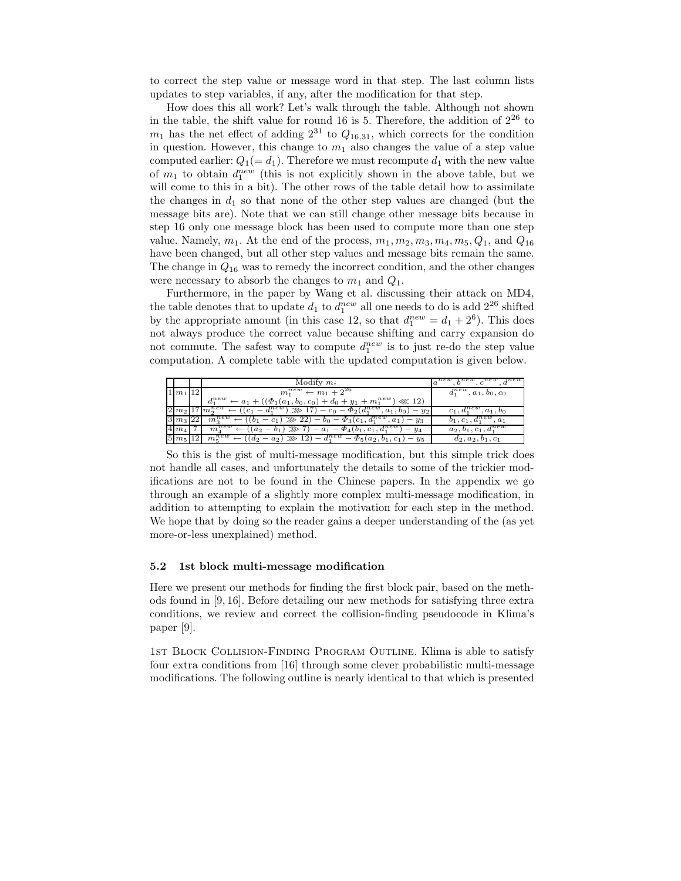to correct the step value or message word in that step. The last column lists updates to step variables, if any, after the modification for that step.

How does this all work? Let's walk through the table. Although not shown in the table, the shift value for round 16 is 5. Therefore, the addition of  $2^{26}$  to  $m_1$  has the net effect of adding  $2^{31}$  to  $Q_{16,31}$ , which corrects for the condition in question. However, this change to  $m_1$  also changes the value of a step value computed earlier:  $Q_1(= d_1)$ . Therefore we must recompute  $d_1$  with the new value of  $m_1$  to obtain  $d_1^{new}$  (this is not explicitly shown in the above table, but we will come to this in a bit). The other rows of the table detail how to assimilate the changes in  $d_1$  so that none of the other step values are changed (but the message bits are). Note that we can still change other message bits because in step 16 only one message block has been used to compute more than one step value. Namely,  $m_1$ . At the end of the process,  $m_1, m_2, m_3, m_4, m_5, Q_1$ , and  $Q_{16}$ have been changed, but all other step values and message bits remain the same. The change in  $Q_{16}$  was to remedy the incorrect condition, and the other changes were necessary to absorb the changes to  $m_1$  and  $Q_1$ .

Furthermore, in the paper by Wang et al. discussing their attack on MD4, the table denotes that to update  $d_1$  to  $d_1^{new}$  all one needs to do is add  $2^{26}$  shifted by the appropriate amount (in this case 12, so that  $d_1^{new} = d_1 + 2^6$ ). This does not always produce the correct value because shifting and carry expansion do not commute. The safest way to compute  $d_1^{new}$  is to just re-do the step value computation. A complete table with the updated computation is given below.

|                  | Modify $m_i$                                                                                                        | $b^{new}, c^{new}, d^{new}$                                        |
|------------------|---------------------------------------------------------------------------------------------------------------------|--------------------------------------------------------------------|
| $1 \, m_1 \, 12$ | $m_1^{new} \leftarrow m_1 + 2^{26}$                                                                                 | $\overline{d_1^{new}}, a_1, b_0, c_0$                              |
|                  | $d_1^{new} \leftarrow a_1 + ((\Phi_1(a_1, b_0, c_0) + d_0 + y_1 + m_1^{new}) \ll 12)$                               |                                                                    |
|                  | $(2 m_2 17 m_2^{new} \leftarrow ((c_1 - d_1^{new}) \gg 17) - c_0 - \Phi_2(d_1^{new}, a_1, b_0) - y_2)$              | new<br>$c_1, d_1^{\prime\prime\prime\prime\prime\prime}, a_1, b_0$ |
| $3 \, m_3 \, 22$ | $m_3^{new} \leftarrow ((b_1 - c_1) \gg 22) - b_0 - \Phi_3(c_1, d_1^{new}, a_1) - y_3$                               | $b_1, c_1, d_1^{new}$ ,<br>$\cdot$ $a_1$                           |
| $14 \, m_4 \, 7$ | $m^{new}_{\scriptscriptstyle{A}}$<br>$\leftarrow ((a_2 - b_1) \gg 7) - a_1 - \Phi_4(b_1, c_1, d_1^{new})$<br>$-y_4$ | $a_2, b_1, c_1, d_1^{new}$                                         |
| $5 \; m_5 \; 12$ | $m_5^{new} \leftarrow ((d_2 - a_2) \gg 12) - d_1^{new} - \Phi_5(a_2, b_1, c_1) - y_5$                               | $d_2, a_2, b_1, c_1$                                               |

So this is the gist of multi-message modification, but this simple trick does not handle all cases, and unfortunately the details to some of the trickier modifications are not to be found in the Chinese papers. In the appendix we go through an example of a slightly more complex multi-message modification, in addition to attempting to explain the motivation for each step in the method. We hope that by doing so the reader gains a deeper understanding of the (as yet more-or-less unexplained) method.

#### 5.2 1st block multi-message modification

Here we present our methods for finding the first block pair, based on the methods found in [9, 16]. Before detailing our new methods for satisfying three extra conditions, we review and correct the collision-finding pseudocode in Klima's paper [9].

1st Block Collision-Finding Program Outline. Klima is able to satisfy four extra conditions from [16] through some clever probabilistic multi-message modifications. The following outline is nearly identical to that which is presented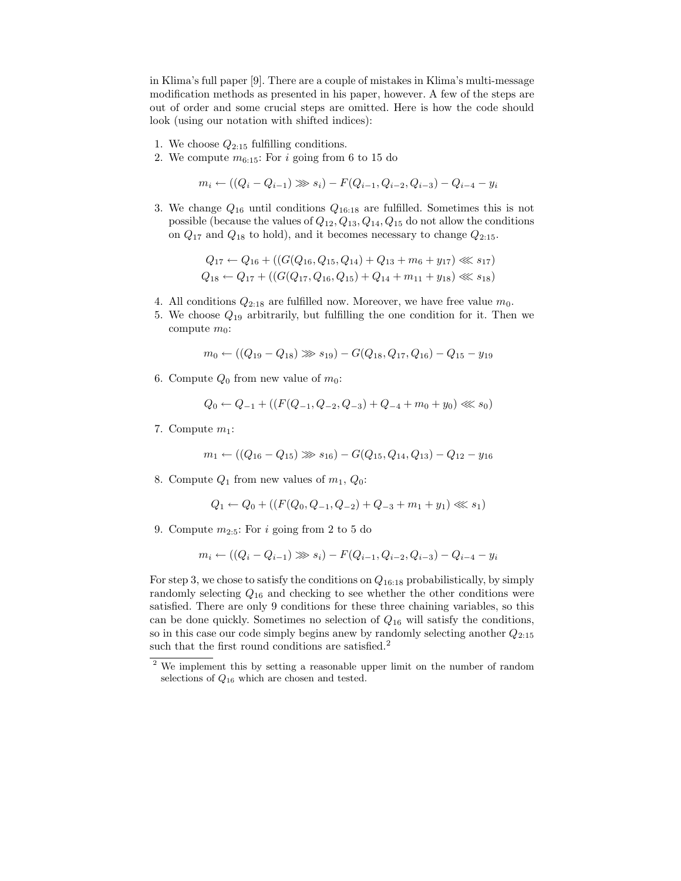in Klima's full paper [9]. There are a couple of mistakes in Klima's multi-message modification methods as presented in his paper, however. A few of the steps are out of order and some crucial steps are omitted. Here is how the code should look (using our notation with shifted indices):

- 1. We choose  $Q_{2:15}$  fulfilling conditions.
- 2. We compute  $m_{6:15}$ : For i going from 6 to 15 do

$$
m_i \leftarrow ((Q_i - Q_{i-1}) \gg s_i) - F(Q_{i-1}, Q_{i-2}, Q_{i-3}) - Q_{i-4} - y_i
$$

3. We change  $Q_{16}$  until conditions  $Q_{16:18}$  are fulfilled. Sometimes this is not possible (because the values of  $Q_{12}$ ,  $Q_{13}$ ,  $Q_{14}$ ,  $Q_{15}$  do not allow the conditions on  $Q_{17}$  and  $Q_{18}$  to hold), and it becomes necessary to change  $Q_{2:15}$ .

$$
Q_{17} \leftarrow Q_{16} + ((G(Q_{16}, Q_{15}, Q_{14}) + Q_{13} + m_6 + y_{17}) \ll s_{17})
$$
  

$$
Q_{18} \leftarrow Q_{17} + ((G(Q_{17}, Q_{16}, Q_{15}) + Q_{14} + m_{11} + y_{18}) \ll s_{18})
$$

- 4. All conditions  $Q_{2:18}$  are fulfilled now. Moreover, we have free value  $m_0$ .
- 5. We choose  $Q_{19}$  arbitrarily, but fulfilling the one condition for it. Then we compute  $m_0$ :

$$
m_0 \leftarrow ((Q_{19} - Q_{18}) \gg s_{19}) - G(Q_{18}, Q_{17}, Q_{16}) - Q_{15} - y_{19}
$$

6. Compute  $Q_0$  from new value of  $m_0$ :

$$
Q_0 \leftarrow Q_{-1} + ((F(Q_{-1}, Q_{-2}, Q_{-3}) + Q_{-4} + m_0 + y_0) \lll s_0)
$$

7. Compute  $m_1$ :

$$
m_1 \leftarrow ((Q_{16} - Q_{15}) \gg s_{16}) - G(Q_{15}, Q_{14}, Q_{13}) - Q_{12} - y_{16}
$$

8. Compute  $Q_1$  from new values of  $m_1, Q_0$ :

$$
Q_1 \leftarrow Q_0 + \left( \left( F(Q_0, Q_{-1}, Q_{-2}) + Q_{-3} + m_1 + y_1 \right) \ll s_1 \right)
$$

9. Compute  $m_{2:5}$ : For i going from 2 to 5 do

$$
m_i \leftarrow ((Q_i - Q_{i-1}) \gg s_i) - F(Q_{i-1}, Q_{i-2}, Q_{i-3}) - Q_{i-4} - y_i
$$

For step 3, we chose to satisfy the conditions on  $Q_{16:18}$  probabilistically, by simply randomly selecting  $Q_{16}$  and checking to see whether the other conditions were satisfied. There are only 9 conditions for these three chaining variables, so this can be done quickly. Sometimes no selection of  $Q_{16}$  will satisfy the conditions, so in this case our code simply begins anew by randomly selecting another  $Q_{2:15}$ such that the first round conditions are satisfied.<sup>2</sup>

<sup>2</sup> We implement this by setting a reasonable upper limit on the number of random selections of  $Q_{16}$  which are chosen and tested.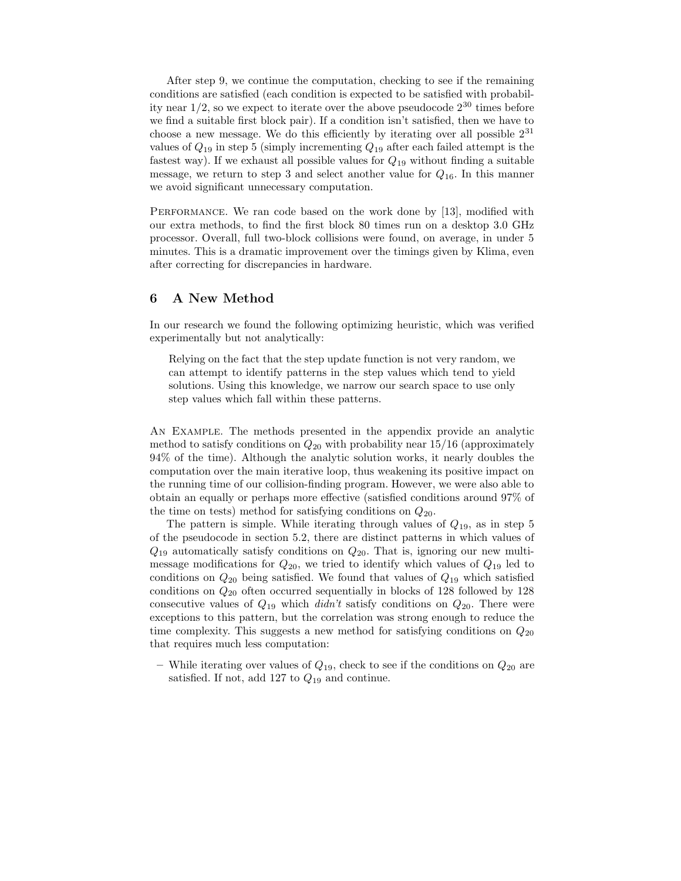After step 9, we continue the computation, checking to see if the remaining conditions are satisfied (each condition is expected to be satisfied with probability near  $1/2$ , so we expect to iterate over the above pseudocode  $2^{30}$  times before we find a suitable first block pair). If a condition isn't satisfied, then we have to choose a new message. We do this efficiently by iterating over all possible  $2^{31}$ values of  $Q_{19}$  in step 5 (simply incrementing  $Q_{19}$  after each failed attempt is the fastest way). If we exhaust all possible values for  $Q_{19}$  without finding a suitable message, we return to step 3 and select another value for  $Q_{16}$ . In this manner we avoid significant unnecessary computation.

PERFORMANCE. We ran code based on the work done by [13], modified with our extra methods, to find the first block 80 times run on a desktop 3.0 GHz processor. Overall, full two-block collisions were found, on average, in under 5 minutes. This is a dramatic improvement over the timings given by Klima, even after correcting for discrepancies in hardware.

## 6 A New Method

In our research we found the following optimizing heuristic, which was verified experimentally but not analytically:

Relying on the fact that the step update function is not very random, we can attempt to identify patterns in the step values which tend to yield solutions. Using this knowledge, we narrow our search space to use only step values which fall within these patterns.

An Example. The methods presented in the appendix provide an analytic method to satisfy conditions on  $Q_{20}$  with probability near 15/16 (approximately 94% of the time). Although the analytic solution works, it nearly doubles the computation over the main iterative loop, thus weakening its positive impact on the running time of our collision-finding program. However, we were also able to obtain an equally or perhaps more effective (satisfied conditions around 97% of the time on tests) method for satisfying conditions on  $Q_{20}$ .

The pattern is simple. While iterating through values of  $Q_{19}$ , as in step 5 of the pseudocode in section 5.2, there are distinct patterns in which values of  $Q_{19}$  automatically satisfy conditions on  $Q_{20}$ . That is, ignoring our new multimessage modifications for  $Q_{20}$ , we tried to identify which values of  $Q_{19}$  led to conditions on  $Q_{20}$  being satisfied. We found that values of  $Q_{19}$  which satisfied conditions on  $Q_{20}$  often occurred sequentially in blocks of 128 followed by 128 consecutive values of  $Q_{19}$  which *didn't* satisfy conditions on  $Q_{20}$ . There were exceptions to this pattern, but the correlation was strong enough to reduce the time complexity. This suggests a new method for satisfying conditions on  $Q_{20}$ that requires much less computation:

– While iterating over values of  $Q_{19}$ , check to see if the conditions on  $Q_{20}$  are satisfied. If not, add 127 to  $Q_{19}$  and continue.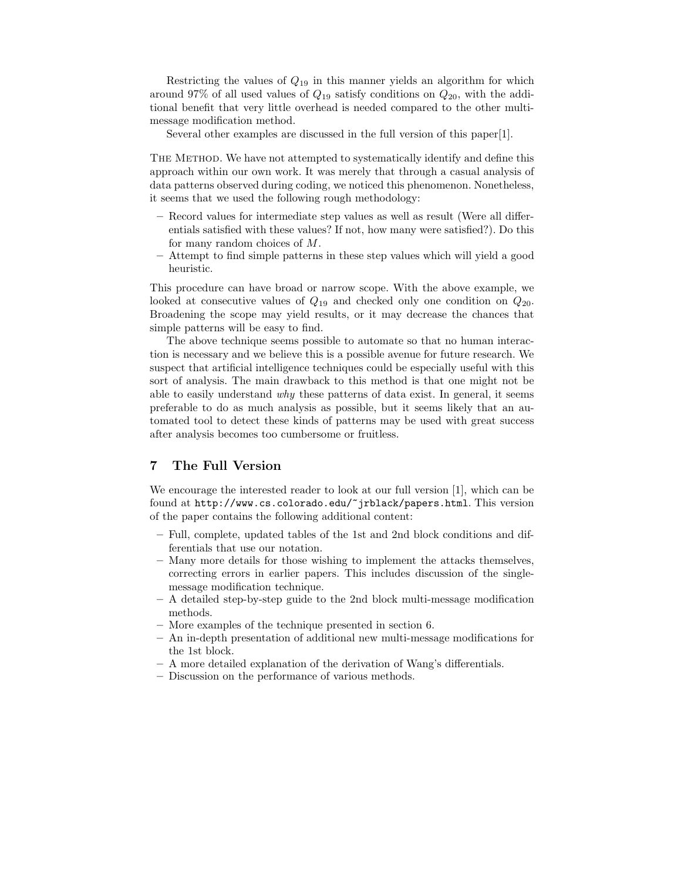Restricting the values of  $Q_{19}$  in this manner yields an algorithm for which around 97% of all used values of  $Q_{19}$  satisfy conditions on  $Q_{20}$ , with the additional benefit that very little overhead is needed compared to the other multimessage modification method.

Several other examples are discussed in the full version of this paper[1].

The Method. We have not attempted to systematically identify and define this approach within our own work. It was merely that through a casual analysis of data patterns observed during coding, we noticed this phenomenon. Nonetheless, it seems that we used the following rough methodology:

- Record values for intermediate step values as well as result (Were all differentials satisfied with these values? If not, how many were satisfied?). Do this for many random choices of M.
- Attempt to find simple patterns in these step values which will yield a good heuristic.

This procedure can have broad or narrow scope. With the above example, we looked at consecutive values of  $Q_{19}$  and checked only one condition on  $Q_{20}$ . Broadening the scope may yield results, or it may decrease the chances that simple patterns will be easy to find.

The above technique seems possible to automate so that no human interaction is necessary and we believe this is a possible avenue for future research. We suspect that artificial intelligence techniques could be especially useful with this sort of analysis. The main drawback to this method is that one might not be able to easily understand why these patterns of data exist. In general, it seems preferable to do as much analysis as possible, but it seems likely that an automated tool to detect these kinds of patterns may be used with great success after analysis becomes too cumbersome or fruitless.

# 7 The Full Version

We encourage the interested reader to look at our full version [1], which can be found at http://www.cs.colorado.edu/~jrblack/papers.html. This version of the paper contains the following additional content:

- Full, complete, updated tables of the 1st and 2nd block conditions and differentials that use our notation.
- Many more details for those wishing to implement the attacks themselves, correcting errors in earlier papers. This includes discussion of the singlemessage modification technique.
- A detailed step-by-step guide to the 2nd block multi-message modification methods.
- More examples of the technique presented in section 6.
- An in-depth presentation of additional new multi-message modifications for the 1st block.
- A more detailed explanation of the derivation of Wang's differentials.
- Discussion on the performance of various methods.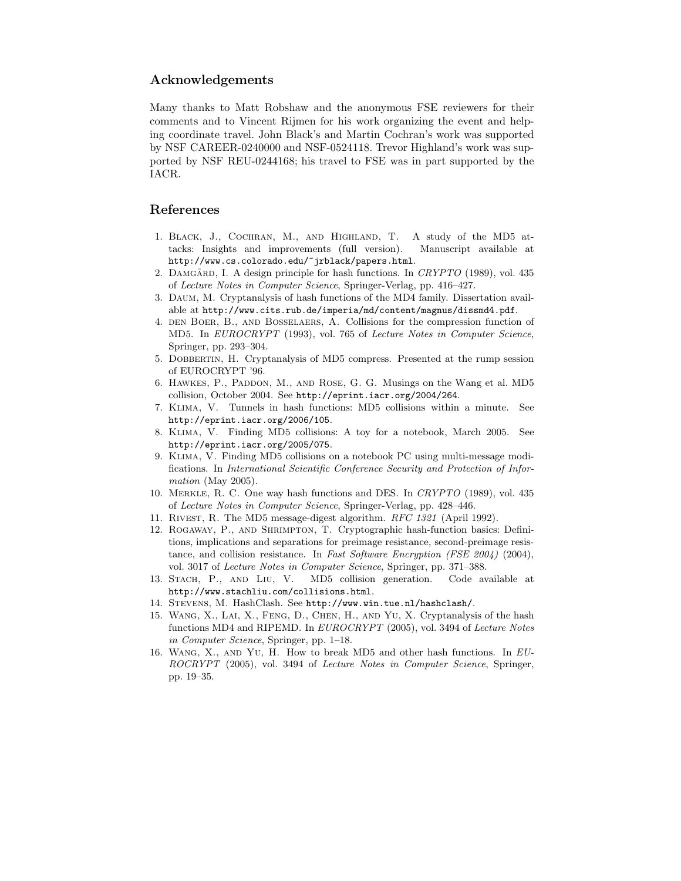# Acknowledgements

Many thanks to Matt Robshaw and the anonymous FSE reviewers for their comments and to Vincent Rijmen for his work organizing the event and helping coordinate travel. John Black's and Martin Cochran's work was supported by NSF CAREER-0240000 and NSF-0524118. Trevor Highland's work was supported by NSF REU-0244168; his travel to FSE was in part supported by the IACR.

## References

- 1. Black, J., Cochran, M., and Highland, T. A study of the MD5 attacks: Insights and improvements (full version). Manuscript available at http://www.cs.colorado.edu/~jrblack/papers.html.
- 2. DAMGÅRD, I. A design principle for hash functions. In  $CRYPTO$  (1989), vol. 435 of Lecture Notes in Computer Science, Springer-Verlag, pp. 416–427.
- 3. Daum, M. Cryptanalysis of hash functions of the MD4 family. Dissertation available at http://www.cits.rub.de/imperia/md/content/magnus/dissmd4.pdf.
- 4. den Boer, B., and Bosselaers, A. Collisions for the compression function of MD5. In EUROCRYPT (1993), vol. 765 of Lecture Notes in Computer Science, Springer, pp. 293–304.
- 5. Dobbertin, H. Cryptanalysis of MD5 compress. Presented at the rump session of EUROCRYPT '96.
- 6. HAWKES, P., PADDON, M., AND ROSE, G. G. Musings on the Wang et al. MD5 collision, October 2004. See http://eprint.iacr.org/2004/264.
- 7. Klima, V. Tunnels in hash functions: MD5 collisions within a minute. See http://eprint.iacr.org/2006/105.
- 8. Klima, V. Finding MD5 collisions: A toy for a notebook, March 2005. See http://eprint.iacr.org/2005/075.
- 9. Klima, V. Finding MD5 collisions on a notebook PC using multi-message modifications. In International Scientific Conference Security and Protection of Information (May 2005).
- 10. Merkle, R. C. One way hash functions and DES. In CRYPTO (1989), vol. 435 of Lecture Notes in Computer Science, Springer-Verlag, pp. 428–446.
- 11. Rivest, R. The MD5 message-digest algorithm. RFC 1321 (April 1992).
- 12. Rogaway, P., and Shrimpton, T. Cryptographic hash-function basics: Definitions, implications and separations for preimage resistance, second-preimage resistance, and collision resistance. In Fast Software Encryption (FSE 2004) (2004), vol. 3017 of Lecture Notes in Computer Science, Springer, pp. 371–388.
- 13. Stach, P., and Liu, V. MD5 collision generation. Code available at http://www.stachliu.com/collisions.html.
- 14. Stevens, M. HashClash. See http://www.win.tue.nl/hashclash/.
- 15. Wang, X., Lai, X., Feng, D., Chen, H., and Yu, X. Cryptanalysis of the hash functions MD4 and RIPEMD. In EUROCRYPT (2005), vol. 3494 of Lecture Notes in Computer Science, Springer, pp. 1–18.
- 16. Wang, X., and Yu, H. How to break MD5 and other hash functions. In EU-ROCRYPT (2005), vol. 3494 of Lecture Notes in Computer Science, Springer, pp. 19–35.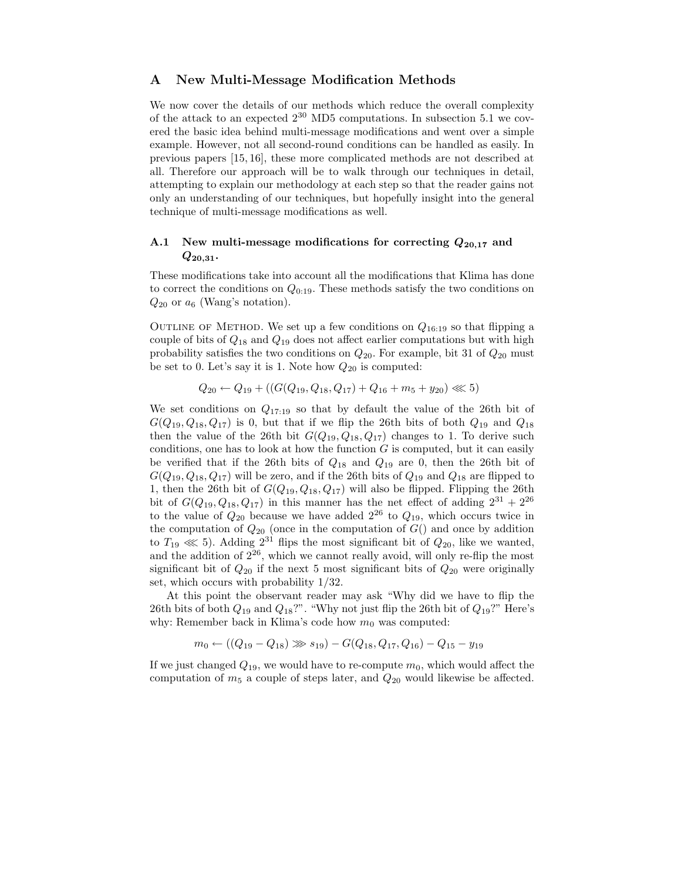## A New Multi-Message Modification Methods

We now cover the details of our methods which reduce the overall complexity of the attack to an expected  $2^{30}$  MD5 computations. In subsection 5.1 we covered the basic idea behind multi-message modifications and went over a simple example. However, not all second-round conditions can be handled as easily. In previous papers [15, 16], these more complicated methods are not described at all. Therefore our approach will be to walk through our techniques in detail, attempting to explain our methodology at each step so that the reader gains not only an understanding of our techniques, but hopefully insight into the general technique of multi-message modifications as well.

## A.1 New multi-message modifications for correcting  $Q_{20,17}$  and  $Q_{20,31}$ .

These modifications take into account all the modifications that Klima has done to correct the conditions on  $Q_{0:19}$ . These methods satisfy the two conditions on  $Q_{20}$  or  $a_6$  (Wang's notation).

OUTLINE OF METHOD. We set up a few conditions on  $Q_{16:19}$  so that flipping a couple of bits of  $Q_{18}$  and  $Q_{19}$  does not affect earlier computations but with high probability satisfies the two conditions on  $Q_{20}$ . For example, bit 31 of  $Q_{20}$  must be set to 0. Let's say it is 1. Note how  $Q_{20}$  is computed:

$$
Q_{20} \leftarrow Q_{19} + ((G(Q_{19}, Q_{18}, Q_{17}) + Q_{16} + m_5 + y_{20}) \lll 5)
$$

We set conditions on  $Q_{17:19}$  so that by default the value of the 26th bit of  $G(Q_{19}, Q_{18}, Q_{17})$  is 0, but that if we flip the 26th bits of both  $Q_{19}$  and  $Q_{18}$ then the value of the 26th bit  $G(Q_{19}, Q_{18}, Q_{17})$  changes to 1. To derive such conditions, one has to look at how the function  $G$  is computed, but it can easily be verified that if the 26th bits of  $Q_{18}$  and  $Q_{19}$  are 0, then the 26th bit of  $G(Q_{19}, Q_{18}, Q_{17})$  will be zero, and if the 26th bits of  $Q_{19}$  and  $Q_{18}$  are flipped to 1, then the 26th bit of  $G(Q_{19}, Q_{18}, Q_{17})$  will also be flipped. Flipping the 26th bit of  $G(Q_{19}, Q_{18}, Q_{17})$  in this manner has the net effect of adding  $2^{31} + 2^{26}$ to the value of  $Q_{20}$  because we have added  $2^{26}$  to  $Q_{19}$ , which occurs twice in the computation of  $Q_{20}$  (once in the computation of  $G()$  and once by addition to  $T_{19} \ll 5$ ). Adding  $2^{31}$  flips the most significant bit of  $Q_{20}$ , like we wanted, and the addition of  $2^{26}$ , which we cannot really avoid, will only re-flip the most significant bit of  $Q_{20}$  if the next 5 most significant bits of  $Q_{20}$  were originally set, which occurs with probability 1/32.

At this point the observant reader may ask "Why did we have to flip the 26th bits of both  $Q_{19}$  and  $Q_{18}$ ?". "Why not just flip the 26th bit of  $Q_{19}$ ?" Here's why: Remember back in Klima's code how  $m_0$  was computed:

$$
m_0 \leftarrow ((Q_{19} - Q_{18}) \gg g_{19}) - G(Q_{18}, Q_{17}, Q_{16}) - Q_{15} - y_{19}
$$

If we just changed  $Q_{19}$ , we would have to re-compute  $m_0$ , which would affect the computation of  $m_5$  a couple of steps later, and  $Q_{20}$  would likewise be affected.